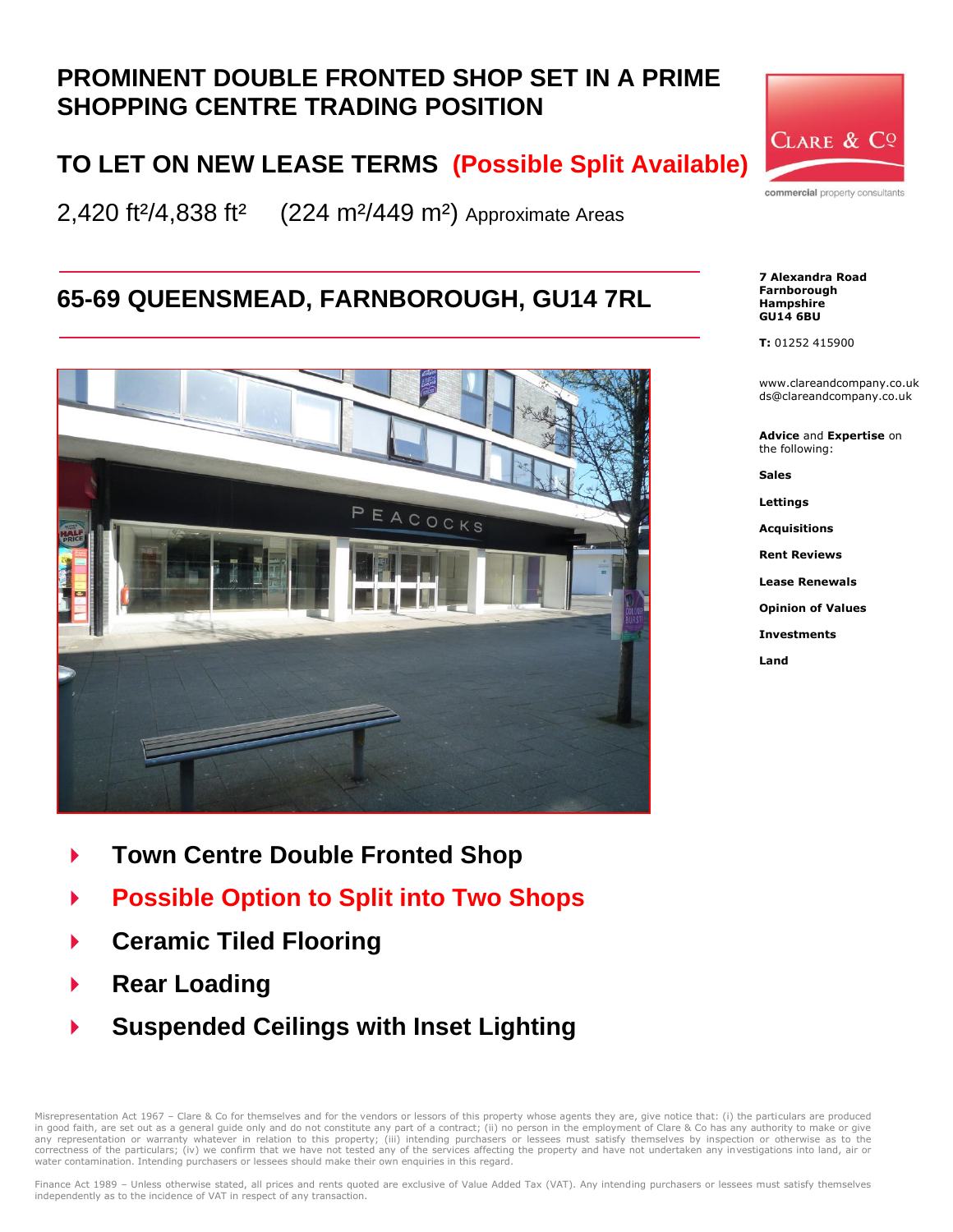## **PROMINENT DOUBLE FRONTED SHOP SET IN A PRIME SHOPPING CENTRE TRADING POSITION**

# **TO LET ON NEW LEASE TERMS (Possible Split Available)**

2,420 ft²/4,838 ft² (224 m²/449 m²) Approximate Areas

### **65-69 QUEENSMEAD, FARNBOROUGH, GU14 7RL**



- **Town Centre Double Fronted Shop**
- **Possible Option to Split into Two Shops**
- **Ceramic Tiled Flooring**
- **Rear Loading**
- **Suspended Ceilings with Inset Lighting**

Misrepresentation Act 1967 - Clare & Co for themselves and for the vendors or lessors of this property whose agents they are, give notice that: (i) the particulars are produced in good faith, are set out as a general guide only and do not constitute any part of a contract; (ii) no person in the employment of Clare & Co has any authority to make or give<br>any representation or warranty whatever in r correctness of the particulars; (iv) we confirm that we have not tested any of the services affecting the property and have not undertaken any investigations into land, air or water contamination. Intending purchasers or lessees should make their own enquiries in this regard.



#### **7 Alexandra Road Farnborough Hampshire GU14 6BU**

**T:** 01252 415900

www.clareandcompany.co.uk ds@clareandcompany.co.uk

**Advice** and **Expertise** on the following:

**Sales**

**Lettings**

**Acquisitions**

**Rent Reviews**

**Lease Renewals**

**Opinion of Values**

**Investments**

**Land**

Finance Act 1989 - Unless otherwise stated, all prices and rents quoted are exclusive of Value Added Tax (VAT). Any intending purchasers or lessees must satisfy themselves independently as to the incidence of VAT in respect of any transaction.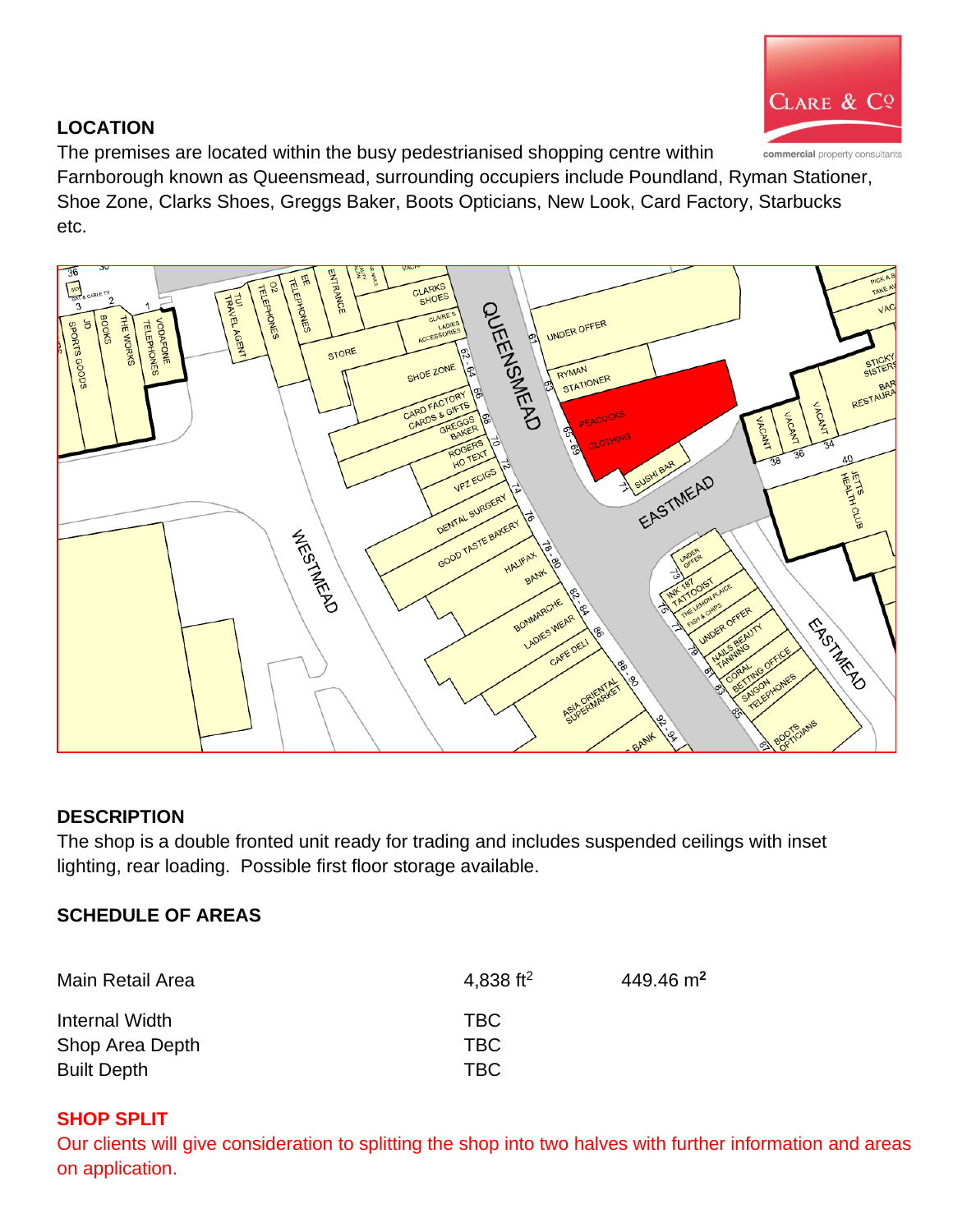

### **LOCATION**

The premises are located within the busy pedestrianised shopping centre within

Farnborough known as Queensmead, surrounding occupiers include Poundland, Ryman Stationer, Shoe Zone, Clarks Shoes, Greggs Baker, Boots Opticians, New Look, Card Factory, Starbucks etc.



#### **DESCRIPTION**

The shop is a double fronted unit ready for trading and includes suspended ceilings with inset lighting, rear loading. Possible first floor storage available.

#### **SCHEDULE OF AREAS**

| Main Retail Area   | 4,838 ft <sup>2</sup> | $449.46 \text{ m}^2$ |
|--------------------|-----------------------|----------------------|
| Internal Width     | TBC.                  |                      |
| Shop Area Depth    | TBC.                  |                      |
| <b>Built Depth</b> | TBC                   |                      |

#### **SHOP SPLIT**

Our clients will give consideration to splitting the shop into two halves with further information and areas on application.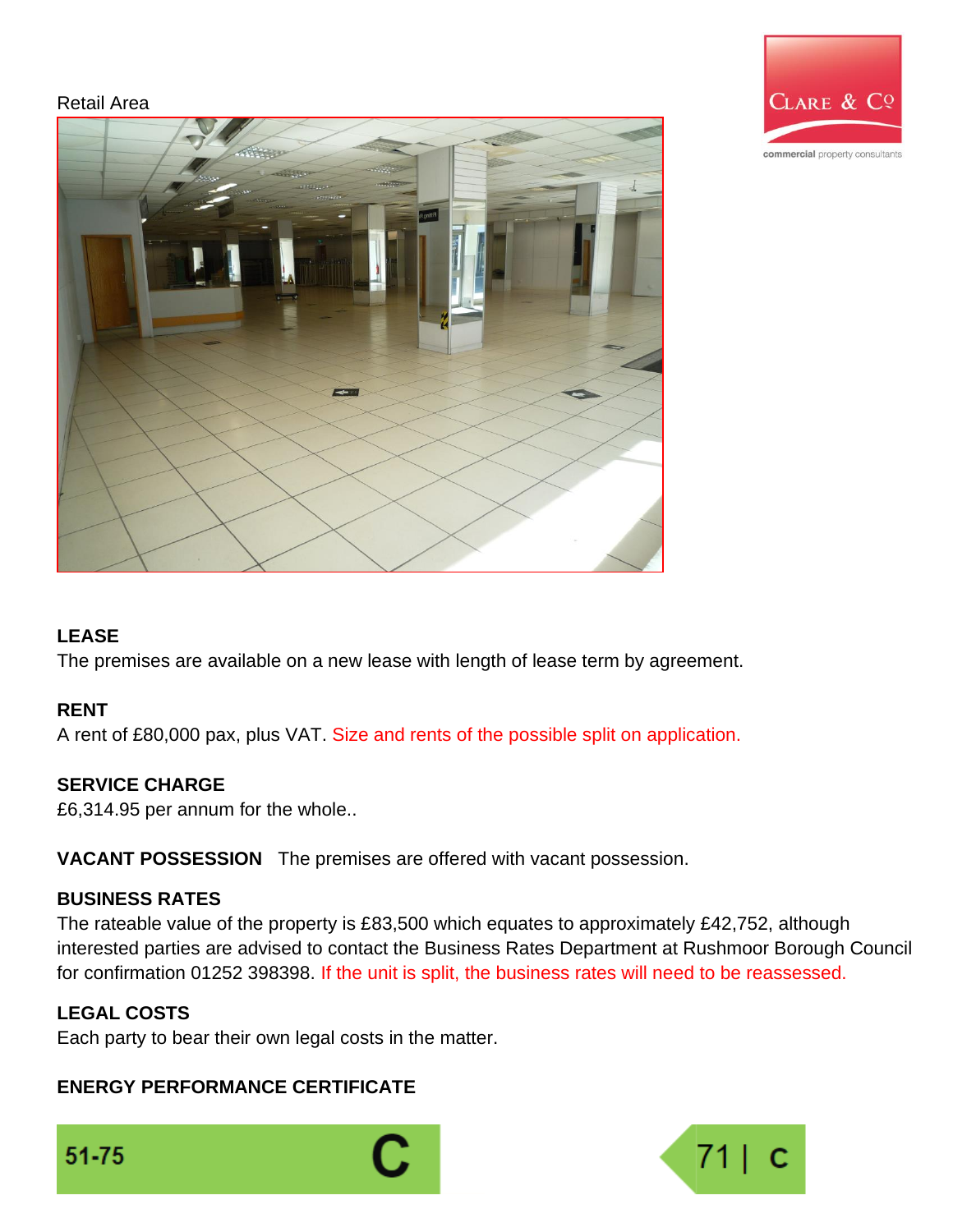#### Retail Area



#### **LEASE**

The premises are available on a new lease with length of lease term by agreement.

#### **RENT**

A rent of £80,000 pax, plus VAT. Size and rents of the possible split on application.

#### **SERVICE CHARGE**

£6,314.95 per annum for the whole..

**VACANT POSSESSION** The premises are offered with vacant possession.

#### **BUSINESS RATES**

The rateable value of the property is £83,500 which equates to approximately £42,752, although interested parties are advised to contact the Business Rates Department at Rushmoor Borough Council for confirmation 01252 398398. If the unit is split, the business rates will need to be reassessed.

#### **LEGAL COSTS**

Each party to bear their own legal costs in the matter.

#### **ENERGY PERFORMANCE CERTIFICATE**